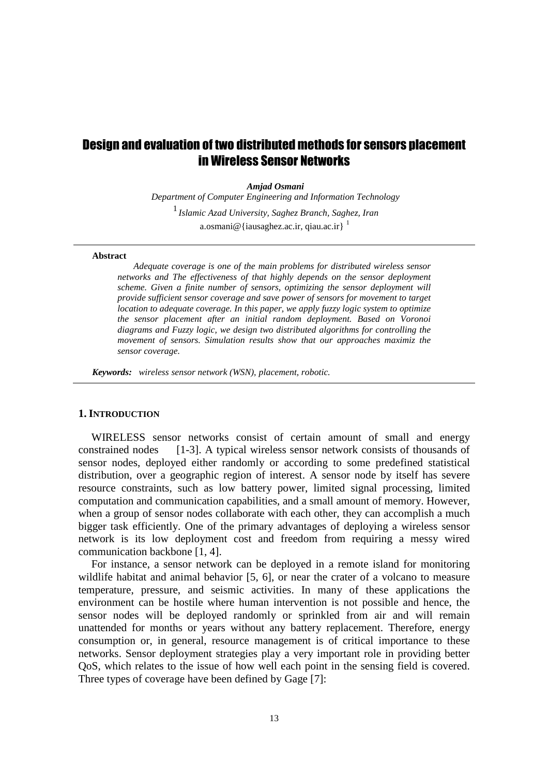# Design and evaluation of two distributed methods for sensors placement in Wireless Sensor Networks

*Amjad Osmani* 

*Department of Computer Engineering and Information Technology Islamic Azad University, Saghez Branch, Saghez, Iran*  1 a.osmani@{iausaghez.ac.ir, qiau.ac.ir}  $\frac{1}{1}$ 

#### **Abstract**

*Adequate coverage is one of the main problems for distributed wireless sensor networks and The effectiveness of that highly depends on the sensor deployment scheme. Given a finite number of sensors, optimizing the sensor deployment will provide sufficient sensor coverage and save power of sensors for movement to target location to adequate coverage. In this paper, we apply fuzzy logic system to optimize the sensor placement after an initial random deployment. Based on Voronoi diagrams and Fuzzy logic, we design two distributed algorithms for controlling the movement of sensors. Simulation results show that our approaches maximiz the sensor coverage.* 

*Keywords: wireless sensor network (WSN), placement, robotic.* 

#### **1. INTRODUCTION**

WIRELESS sensor networks consist of certain amount of small and energy constrained nodes [1-3]. A typical wireless sensor network consists of thousands of sensor nodes, deployed either randomly or according to some predefined statistical distribution, over a geographic region of interest. A sensor node by itself has severe resource constraints, such as low battery power, limited signal processing, limited computation and communication capabilities, and a small amount of memory. However, when a group of sensor nodes collaborate with each other, they can accomplish a much bigger task efficiently. One of the primary advantages of deploying a wireless sensor network is its low deployment cost and freedom from requiring a messy wired communication backbone [1, 4].

For instance, a sensor network can be deployed in a remote island for monitoring wildlife habitat and animal behavior [5, 6], or near the crater of a volcano to measure temperature, pressure, and seismic activities. In many of these applications the environment can be hostile where human intervention is not possible and hence, the sensor nodes will be deployed randomly or sprinkled from air and will remain unattended for months or years without any battery replacement. Therefore, energy consumption or, in general, resource management is of critical importance to these networks. Sensor deployment strategies play a very important role in providing better QoS, which relates to the issue of how well each point in the sensing field is covered. Three types of coverage have been defined by Gage [7]: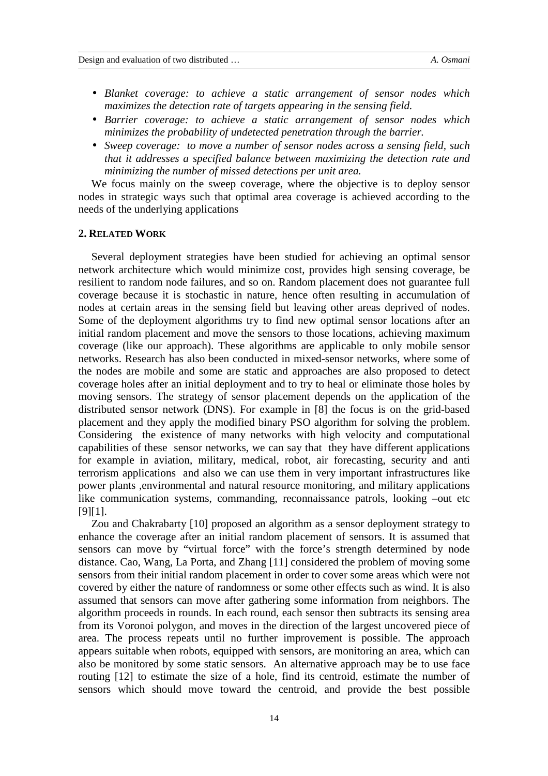- *Blanket coverage: to achieve a static arrangement of sensor nodes which maximizes the detection rate of targets appearing in the sensing field.*
- *Barrier coverage: to achieve a static arrangement of sensor nodes which minimizes the probability of undetected penetration through the barrier.*
- *Sweep coverage: to move a number of sensor nodes across a sensing field, such that it addresses a specified balance between maximizing the detection rate and minimizing the number of missed detections per unit area.*

We focus mainly on the sweep coverage, where the objective is to deploy sensor nodes in strategic ways such that optimal area coverage is achieved according to the needs of the underlying applications

#### **2. RELATED WORK**

Several deployment strategies have been studied for achieving an optimal sensor network architecture which would minimize cost, provides high sensing coverage, be resilient to random node failures, and so on. Random placement does not guarantee full coverage because it is stochastic in nature, hence often resulting in accumulation of nodes at certain areas in the sensing field but leaving other areas deprived of nodes. Some of the deployment algorithms try to find new optimal sensor locations after an initial random placement and move the sensors to those locations, achieving maximum coverage (like our approach). These algorithms are applicable to only mobile sensor networks. Research has also been conducted in mixed-sensor networks, where some of the nodes are mobile and some are static and approaches are also proposed to detect coverage holes after an initial deployment and to try to heal or eliminate those holes by moving sensors. The strategy of sensor placement depends on the application of the distributed sensor network (DNS). For example in [8] the focus is on the grid-based placement and they apply the modified binary PSO algorithm for solving the problem. Considering the existence of many networks with high velocity and computational capabilities of these sensor networks, we can say that they have different applications for example in aviation, military, medical, robot, air forecasting, security and anti terrorism applications and also we can use them in very important infrastructures like power plants ,environmental and natural resource monitoring, and military applications like communication systems, commanding, reconnaissance patrols, looking –out etc [9][1].

Zou and Chakrabarty [10] proposed an algorithm as a sensor deployment strategy to enhance the coverage after an initial random placement of sensors. It is assumed that sensors can move by "virtual force" with the force's strength determined by node distance. Cao, Wang, La Porta, and Zhang [11] considered the problem of moving some sensors from their initial random placement in order to cover some areas which were not covered by either the nature of randomness or some other effects such as wind. It is also assumed that sensors can move after gathering some information from neighbors. The algorithm proceeds in rounds. In each round, each sensor then subtracts its sensing area from its Voronoi polygon, and moves in the direction of the largest uncovered piece of area. The process repeats until no further improvement is possible. The approach appears suitable when robots, equipped with sensors, are monitoring an area, which can also be monitored by some static sensors. An alternative approach may be to use face routing [12] to estimate the size of a hole, find its centroid, estimate the number of sensors which should move toward the centroid, and provide the best possible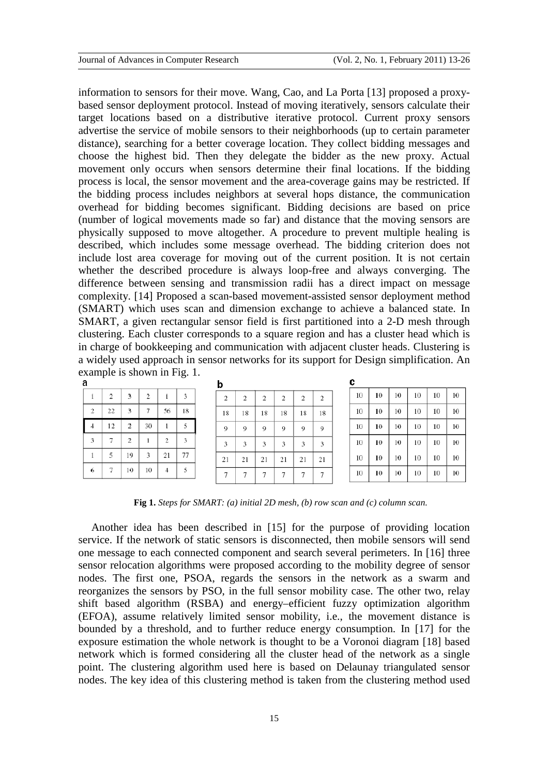information to sensors for their move. Wang, Cao, and La Porta [13] proposed a proxybased sensor deployment protocol. Instead of moving iteratively, sensors calculate their target locations based on a distributive iterative protocol. Current proxy sensors advertise the service of mobile sensors to their neighborhoods (up to certain parameter distance), searching for a better coverage location. They collect bidding messages and choose the highest bid. Then they delegate the bidder as the new proxy. Actual movement only occurs when sensors determine their final locations. If the bidding process is local, the sensor movement and the area-coverage gains may be restricted. If the bidding process includes neighbors at several hops distance, the communication overhead for bidding becomes significant. Bidding decisions are based on price (number of logical movements made so far) and distance that the moving sensors are physically supposed to move altogether. A procedure to prevent multiple healing is described, which includes some message overhead. The bidding criterion does not include lost area coverage for moving out of the current position. It is not certain whether the described procedure is always loop-free and always converging. The difference between sensing and transmission radii has a direct impact on message complexity. [14] Proposed a scan-based movement-assisted sensor deployment method (SMART) which uses scan and dimension exchange to achieve a balanced state. In SMART, a given rectangular sensor field is first partitioned into a 2-D mesh through clustering. Each cluster corresponds to a square region and has a cluster head which is in charge of bookkeeping and communication with adjacent cluster heads. Clustering is a widely used approach in sensor networks for its support for Design simplification. An example is shown in Fig. 1.

| u              |    |                |    |                |    |
|----------------|----|----------------|----|----------------|----|
|                | 2  | 3              | 2  |                | 3  |
| $\overline{2}$ | 22 | 3              | 7  | 56             | 18 |
|                | 12 | $\overline{2}$ | 30 |                | 5  |
| 3              | 7  | $\overline{2}$ |    | $\overline{2}$ | 3  |
|                | 5  | 19             | 3  | 21             | 77 |
| 6              |    | 10             | 10 |                | 5  |

| 2  | 2  | 2  | 2  | $\mathbf{2}$ | $\overline{2}$ |
|----|----|----|----|--------------|----------------|
| 18 | 18 | 18 | 18 | 18           | 18             |
| 9  | 9  | 9  | 9  | 9            | 9              |
| 3  | 3  | 3  | 3  | 3            | 3              |
| 21 | 21 | 21 | 21 | 21           | 21             |
| 7  | 7  | 7  | 7  | 7            |                |

| с  |    |    |    |    |    |  |  |
|----|----|----|----|----|----|--|--|
| 10 | 10 | 10 | 10 | 10 | 10 |  |  |
| 10 | 10 | 10 | 10 | 10 | 10 |  |  |
| 10 | 10 | 10 | 10 | 10 | 10 |  |  |
| 10 | 10 | 10 | 10 | 10 | 10 |  |  |
| 10 | 10 | 10 | 10 | 10 | 10 |  |  |
| 10 | 10 | 10 | 10 | 10 | 10 |  |  |

**Fig 1.** *Steps for SMART: (a) initial 2D mesh, (b) row scan and (c) column scan.* 

Another idea has been described in [15] for the purpose of providing location service. If the network of static sensors is disconnected, then mobile sensors will send one message to each connected component and search several perimeters. In [16] three sensor relocation algorithms were proposed according to the mobility degree of sensor nodes. The first one, PSOA, regards the sensors in the network as a swarm and reorganizes the sensors by PSO, in the full sensor mobility case. The other two, relay shift based algorithm (RSBA) and energy–efficient fuzzy optimization algorithm (EFOA), assume relatively limited sensor mobility, i.e., the movement distance is bounded by a threshold, and to further reduce energy consumption. In [17] for the exposure estimation the whole network is thought to be a Voronoi diagram [18] based network which is formed considering all the cluster head of the network as a single point. The clustering algorithm used here is based on Delaunay triangulated sensor nodes. The key idea of this clustering method is taken from the clustering method used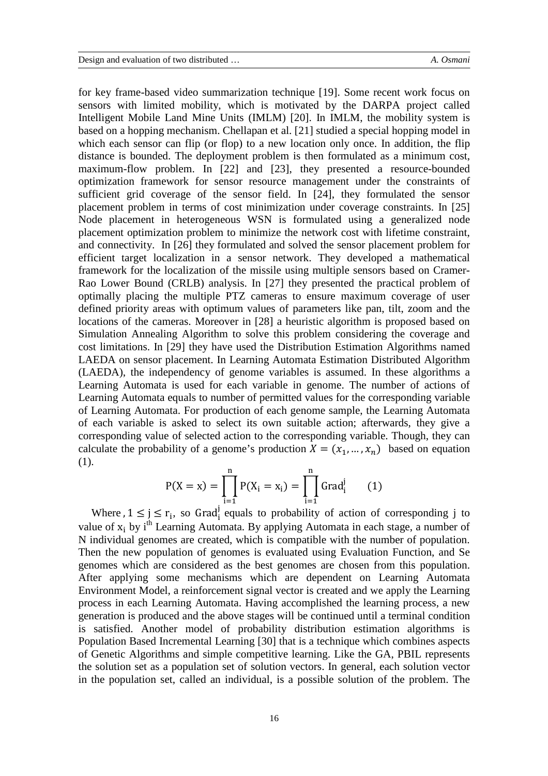for key frame-based video summarization technique [19]. Some recent work focus on sensors with limited mobility, which is motivated by the DARPA project called Intelligent Mobile Land Mine Units (IMLM) [20]. In IMLM, the mobility system is based on a hopping mechanism. Chellapan et al. [21] studied a special hopping model in which each sensor can flip (or flop) to a new location only once. In addition, the flip distance is bounded. The deployment problem is then formulated as a minimum cost, maximum-flow problem. In [22] and [23], they presented a resource-bounded optimization framework for sensor resource management under the constraints of sufficient grid coverage of the sensor field. In [24], they formulated the sensor placement problem in terms of cost minimization under coverage constraints. In [25] Node placement in heterogeneous WSN is formulated using a generalized node placement optimization problem to minimize the network cost with lifetime constraint, and connectivity. In [26] they formulated and solved the sensor placement problem for efficient target localization in a sensor network. They developed a mathematical framework for the localization of the missile using multiple sensors based on Cramer-Rao Lower Bound (CRLB) analysis. In [27] they presented the practical problem of optimally placing the multiple PTZ cameras to ensure maximum coverage of user defined priority areas with optimum values of parameters like pan, tilt, zoom and the locations of the cameras. Moreover in [28] a heuristic algorithm is proposed based on Simulation Annealing Algorithm to solve this problem considering the coverage and cost limitations. In [29] they have used the Distribution Estimation Algorithms named LAEDA on sensor placement. In Learning Automata Estimation Distributed Algorithm (LAEDA), the independency of genome variables is assumed. In these algorithms a Learning Automata is used for each variable in genome. The number of actions of Learning Automata equals to number of permitted values for the corresponding variable of Learning Automata. For production of each genome sample, the Learning Automata of each variable is asked to select its own suitable action; afterwards, they give a corresponding value of selected action to the corresponding variable. Though, they can calculate the probability of a genome's production  $X = (x_1, ..., x_n)$  based on equation (1).

$$
P(X = x) = \prod_{i=1}^{n} P(X_i = x_i) = \prod_{i=1}^{n} Grad_i^{j}
$$
 (1)

Where  $, 1 \leq j \leq r_i$ , so Grad<sup>j</sup> equals to probability of action of corresponding j to value of  $x_i$  by i<sup>th</sup> Learning Automata. By applying Automata in each stage, a number of N individual genomes are created, which is compatible with the number of population. Then the new population of genomes is evaluated using Evaluation Function, and Se genomes which are considered as the best genomes are chosen from this population. After applying some mechanisms which are dependent on Learning Automata Environment Model, a reinforcement signal vector is created and we apply the Learning process in each Learning Automata. Having accomplished the learning process, a new generation is produced and the above stages will be continued until a terminal condition is satisfied. Another model of probability distribution estimation algorithms is Population Based Incremental Learning [30] that is a technique which combines aspects of Genetic Algorithms and simple competitive learning. Like the GA, PBIL represents the solution set as a population set of solution vectors. In general, each solution vector in the population set, called an individual, is a possible solution of the problem. The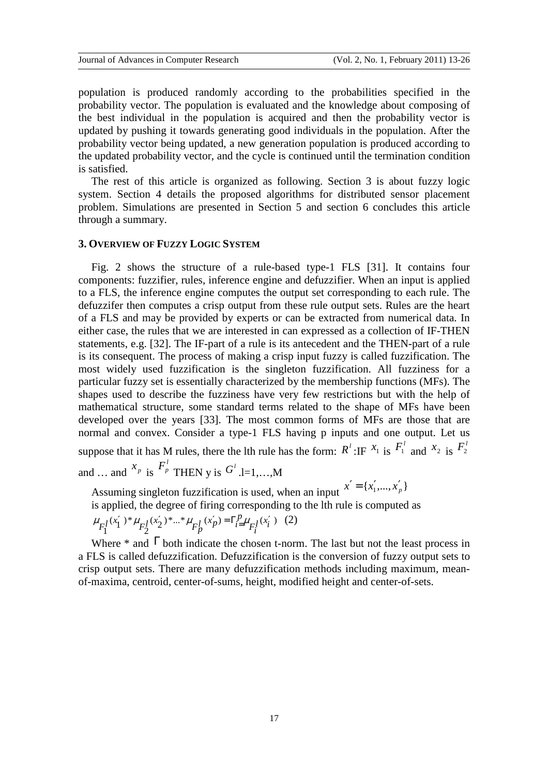population is produced randomly according to the probabilities specified in the probability vector. The population is evaluated and the knowledge about composing of the best individual in the population is acquired and then the probability vector is updated by pushing it towards generating good individuals in the population. After the probability vector being updated, a new generation population is produced according to the updated probability vector, and the cycle is continued until the termination condition is satisfied.

The rest of this article is organized as following. Section 3 is about fuzzy logic system. Section 4 details the proposed algorithms for distributed sensor placement problem. Simulations are presented in Section 5 and section 6 concludes this article through a summary.

## **3. OVERVIEW OF FUZZY LOGIC SYSTEM**

Fig. 2 shows the structure of a rule-based type-1 FLS [31]. It contains four components: fuzzifier, rules, inference engine and defuzzifier. When an input is applied to a FLS, the inference engine computes the output set corresponding to each rule. The defuzzifer then computes a crisp output from these rule output sets. Rules are the heart of a FLS and may be provided by experts or can be extracted from numerical data. In either case, the rules that we are interested in can expressed as a collection of IF-THEN statements, e.g. [32]. The IF-part of a rule is its antecedent and the THEN-part of a rule is its consequent. The process of making a crisp input fuzzy is called fuzzification. The most widely used fuzzification is the singleton fuzzification. All fuzziness for a particular fuzzy set is essentially characterized by the membership functions (MFs). The shapes used to describe the fuzziness have very few restrictions but with the help of mathematical structure, some standard terms related to the shape of MFs have been developed over the years [33]. The most common forms of MFs are those that are normal and convex. Consider a type-1 FLS having p inputs and one output. Let us suppose that it has M rules, there the lth rule has the form:  $R^l$ :IF  $x_1$  is  $F_1^l$  and  $x_2$  is  $F_2^l$ and ... and  $x_p$  is  $F_p^l$  THEN y is  $G^l$  .l=1,...,M

Assuming singleton fuzzification is used, when an input  $x' = \{x'_1, ..., x'_p\}$ 

is applied, the degree of firing corresponding to the lth rule is computed as

$$
\mu_{F_1^l}(x_1')^* \mu_{F_2^l}(x_2')^* \dots^* \mu_{F_p^l}(x_p') = \Gamma_{i=1}^p \mu_{F_i^l}(x_i') \quad (2)
$$

Where  $*$  and  $\Gamma$  both indicate the chosen t-norm. The last but not the least process in a FLS is called defuzzification. Defuzzification is the conversion of fuzzy output sets to crisp output sets. There are many defuzzification methods including maximum, meanof-maxima, centroid, center-of-sums, height, modified height and center-of-sets.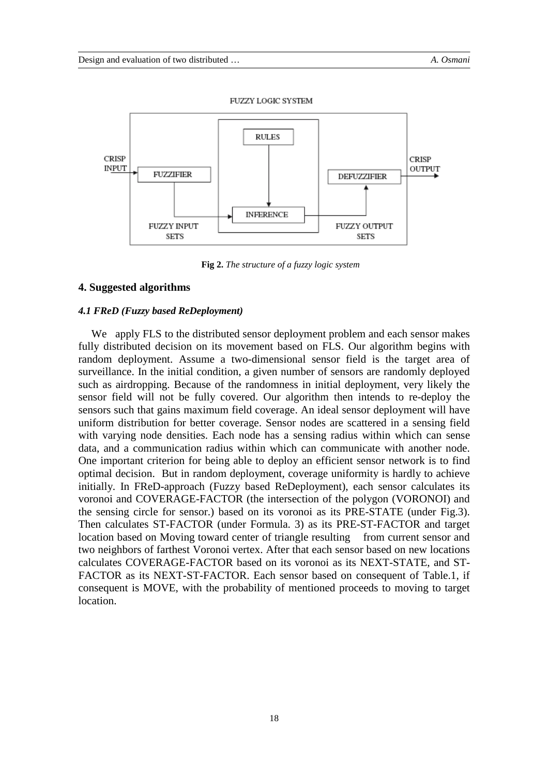

**Fig 2.** *The structure of a fuzzy logic system* 

# **4. Suggested algorithms**

#### *4.1 FReD (Fuzzy based ReDeployment)*

We apply FLS to the distributed sensor deployment problem and each sensor makes fully distributed decision on its movement based on FLS. Our algorithm begins with random deployment. Assume a two-dimensional sensor field is the target area of surveillance. In the initial condition, a given number of sensors are randomly deployed such as airdropping. Because of the randomness in initial deployment, very likely the sensor field will not be fully covered. Our algorithm then intends to re-deploy the sensors such that gains maximum field coverage. An ideal sensor deployment will have uniform distribution for better coverage. Sensor nodes are scattered in a sensing field with varying node densities. Each node has a sensing radius within which can sense data, and a communication radius within which can communicate with another node. One important criterion for being able to deploy an efficient sensor network is to find optimal decision. But in random deployment, coverage uniformity is hardly to achieve initially. In FReD-approach (Fuzzy based ReDeployment), each sensor calculates its voronoi and COVERAGE-FACTOR (the intersection of the polygon (VORONOI) and the sensing circle for sensor.) based on its voronoi as its PRE-STATE (under Fig.3). Then calculates ST-FACTOR (under Formula. 3) as its PRE-ST-FACTOR and target location based on Moving toward center of triangle resulting from current sensor and two neighbors of farthest Voronoi vertex. After that each sensor based on new locations calculates COVERAGE-FACTOR based on its voronoi as its NEXT-STATE, and ST-FACTOR as its NEXT-ST-FACTOR. Each sensor based on consequent of Table.1, if consequent is MOVE, with the probability of mentioned proceeds to moving to target location.

18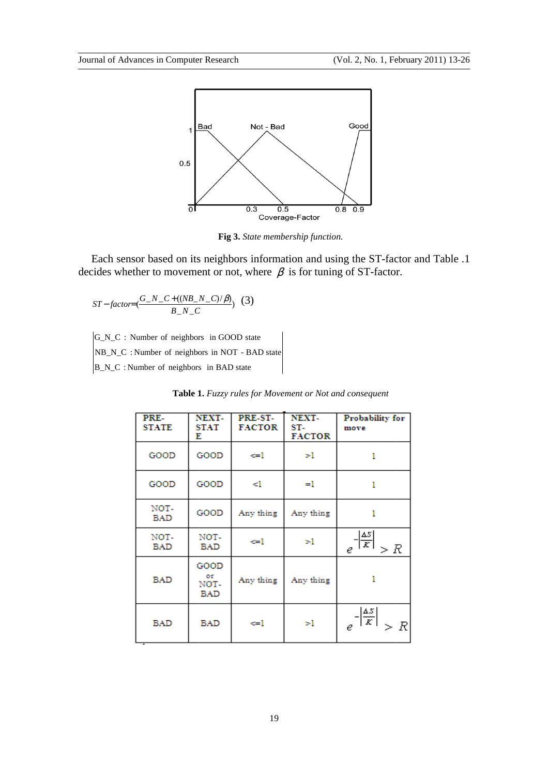

**Fig 3.** *State membership function.* 

Each sensor based on its neighbors information and using the ST-factor and Table .1 ides whether to movement or not, where  $\beta$  is for tuning of ST-factor. decides whether to movement or not, where  $\beta$  is for tuning of ST-factor.

$$
ST-factor = \frac{G_N_C + ((NB_N_C)/\beta)}{B_N_C} \tag{3}
$$

G\_N\_C : Number of neighbors in GOOD state

B\_N\_C : Number of neighbors in BAD state NB\_N\_C : Number of neighbors in NOT - BAD state

|  |  | Table 1. Fuzzy rules for Movement or Not and consequent |  |  |
|--|--|---------------------------------------------------------|--|--|
|--|--|---------------------------------------------------------|--|--|

| PRE-<br><b>STATE</b> | NEXT-<br>STAT<br>Е        | PRE-ST-<br><b>FACTOR</b> | NEXT-<br>ST-<br><b>FACTOR</b> | Probability for<br>move                        |
|----------------------|---------------------------|--------------------------|-------------------------------|------------------------------------------------|
| GOOD                 | GOOD                      | ⇔l                       | >1                            | 1                                              |
| GOOD                 | GOOD                      | <1                       | $=1$                          | 1                                              |
| NOT-<br>BAD          | GOOD                      | Any thing                | Any thing                     | 1                                              |
| NOT-<br><b>BAD</b>   | NOT-<br>BAD               | ←l                       | >1                            | $e^{-\frac{ \overline{ds} }{K}}$<br>> R        |
| <b>BAD</b>           | GOOD<br>or<br>NOT-<br>BAD | Any thing                | Any thing                     | 1                                              |
| <b>BAD</b>           | <b>BAD</b>                | <=1                      | >1                            | $\left \frac{\Delta S}{K}\right $<br>> R<br>e. |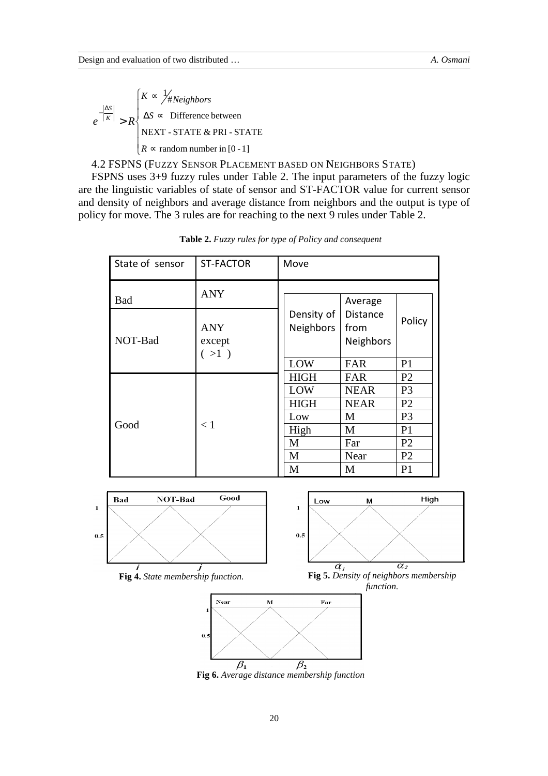$$
e^{-\left|\frac{\Delta S}{K}\right|} > R \begin{cases} K \propto \frac{1}{4} \text{Neighbors} \\ \Delta S \propto \text{ Difference between} \\ \text{NEXT - STATE & PRI - STATE} \\ R \propto \text{random number in [0 - 1]} \end{cases}
$$

4.2 FSPNS (FUZZY SENSOR PLACEMENT BASED ON NEIGHBORS STATE)

FSPNS uses 3+9 fuzzy rules under Table 2. The input parameters of the fuzzy logic are the linguistic variables of state of sensor and ST-FACTOR value for current sensor and density of neighbors and average distance from neighbors and the output is type of policy for move. The 3 rules are for reaching to the next 9 rules under Table 2.

| State of sensor<br><b>ST-FACTOR</b> |                                | Move                    |                                      |                |
|-------------------------------------|--------------------------------|-------------------------|--------------------------------------|----------------|
| <b>Bad</b>                          | <b>ANY</b>                     |                         | Average                              |                |
| NOT-Bad                             | <b>ANY</b><br>except<br>( >1 ) | Density of<br>Neighbors | Distance<br>from<br><b>Neighbors</b> | Policy         |
|                                     |                                | LOW                     | FAR                                  | P <sub>1</sub> |
|                                     |                                | <b>HIGH</b>             | FAR                                  | P <sub>2</sub> |
|                                     |                                | LOW                     | <b>NEAR</b>                          | P <sub>3</sub> |
|                                     |                                | <b>HIGH</b>             | <b>NEAR</b>                          | P <sub>2</sub> |
|                                     |                                | Low                     | M                                    | P <sub>3</sub> |
| Good                                | < 1                            | High                    | M                                    | P <sub>1</sub> |
|                                     |                                | M                       | Far                                  | P <sub>2</sub> |
|                                     |                                | M                       | Near                                 | P <sub>2</sub> |
|                                     |                                | M                       | M                                    | P <sub>1</sub> |

**Table 2.** *Fuzzy rules for type of Policy and consequent* 











**Fig 6.** *Average distance membership function*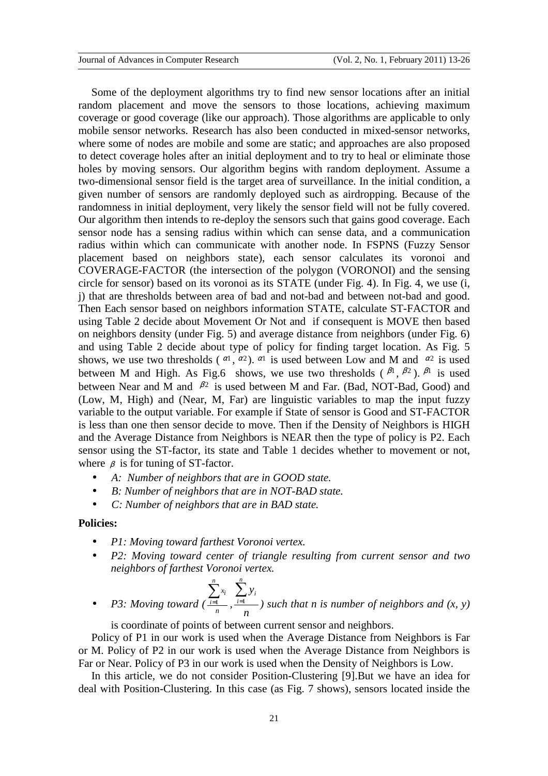Some of the deployment algorithms try to find new sensor locations after an initial random placement and move the sensors to those locations, achieving maximum coverage or good coverage (like our approach). Those algorithms are applicable to only mobile sensor networks. Research has also been conducted in mixed-sensor networks, where some of nodes are mobile and some are static; and approaches are also proposed to detect coverage holes after an initial deployment and to try to heal or eliminate those holes by moving sensors. Our algorithm begins with random deployment. Assume a two-dimensional sensor field is the target area of surveillance. In the initial condition, a given number of sensors are randomly deployed such as airdropping. Because of the randomness in initial deployment, very likely the sensor field will not be fully covered. Our algorithm then intends to re-deploy the sensors such that gains good coverage. Each sensor node has a sensing radius within which can sense data, and a communication radius within which can communicate with another node. In FSPNS (Fuzzy Sensor placement based on neighbors state), each sensor calculates its voronoi and COVERAGE-FACTOR (the intersection of the polygon (VORONOI) and the sensing circle for sensor) based on its voronoi as its STATE (under Fig. 4). In Fig. 4, we use (i, j) that are thresholds between area of bad and not-bad and between not-bad and good. Then Each sensor based on neighbors information STATE, calculate ST-FACTOR and using Table 2 decide about Movement Or Not and if consequent is MOVE then based on neighbors density (under Fig. 5) and average distance from neighbors (under Fig. 6) and using Table 2 decide about type of policy for finding target location. As Fig. 5 shows, we use two thresholds ( $\alpha$ <sup>1</sup>,  $\alpha$ <sup>2</sup>).  $\alpha$ <sup>1</sup> is used between Low and M and  $\alpha$ <sup>2</sup> is used between M and High. As Fig.6 shows, we use two thresholds  $(\beta^1, \beta^2)$ .  $\beta^1$  is used between Near and M and  $\beta^2$  is used between M and Far. (Bad, NOT-Bad, Good) and (Low, M, High) and (Near, M, Far) are linguistic variables to map the input fuzzy variable to the output variable. For example if State of sensor is Good and ST-FACTOR is less than one then sensor decide to move. Then if the Density of Neighbors is HIGH and the Average Distance from Neighbors is NEAR then the type of policy is P2. Each sensor using the ST-factor, its state and Table 1 decides whether to movement or not, where  $\beta$  is for tuning of ST-factor.

- *A: Number of neighbors that are in GOOD state.*
- *B: Number of neighbors that are in NOT-BAD state.*

*n*

• *C: Number of neighbors that are in BAD state.* 

**Policies:** 

- *P1: Moving toward farthest Voronoi vertex.*
- *P2: Moving toward center of triangle resulting from current sensor and two neighbors of farthest Voronoi vertex.*

• P3: Moving toward 
$$
(\frac{\sum_{i=1}^{n} x_i}{n}, \frac{\sum_{i=1}^{n} y_i}{n})
$$
 such that *n* is number of neighbors and  $(x, y)$ 

is coordinate of points of between current sensor and neighbors.

*n*

Policy of P1 in our work is used when the Average Distance from Neighbors is Far or M. Policy of P2 in our work is used when the Average Distance from Neighbors is Far or Near. Policy of P3 in our work is used when the Density of Neighbors is Low.

In this article, we do not consider Position-Clustering [9].But we have an idea for deal with Position-Clustering. In this case (as Fig. 7 shows), sensors located inside the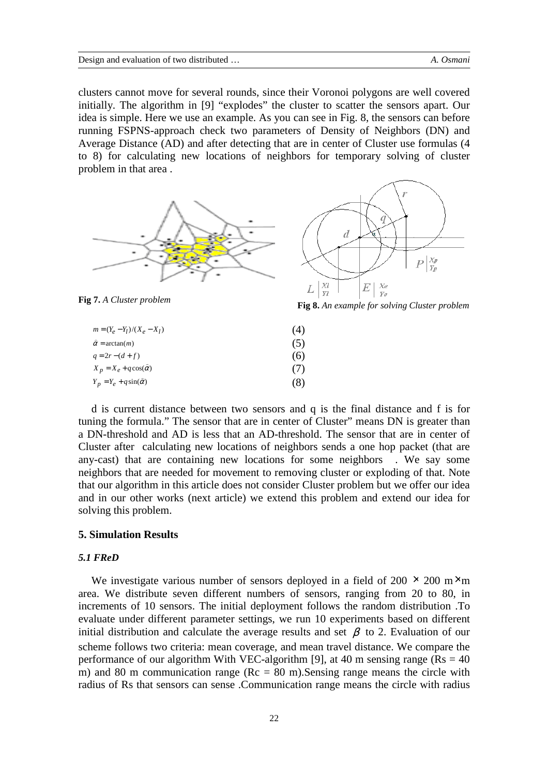clusters cannot move for several rounds, since their Voronoi polygons are well covered initially. The algorithm in [9] "explodes" the cluster to scatter the sensors apart. Our idea is simple. Here we use an example. As you can see in Fig. 8, the sensors can before running FSPNS-approach check two parameters of Density of Neighbors (DN) and Average Distance (AD) and after detecting that are in center of Cluster use formulas (4 to 8) for calculating new locations of neighbors for temporary solving of cluster problem in that area .





| $m = (Y_e - Y_l)/(X_e - X_l)$        | (4) |
|--------------------------------------|-----|
| $\hat{\alpha}$ = arctan( <i>m</i> )  | (5) |
| $q = 2r - (d + f)$                   | (6) |
| $X_p = X_e + q \cos(\tilde{\alpha})$ | (7) |
| $Y_p = Y_e + q \sin(\hat{\alpha})$   | (8) |

d is current distance between two sensors and q is the final distance and f is for tuning the formula." The sensor that are in center of Cluster" means DN is greater than a DN-threshold and AD is less that an AD-threshold. The sensor that are in center of Cluster after calculating new locations of neighbors sends a one hop packet (that are any-cast) that are containing new locations for some neighbors . We say some neighbors that are needed for movement to removing cluster or exploding of that. Note that our algorithm in this article does not consider Cluster problem but we offer our idea and in our other works (next article) we extend this problem and extend our idea for solving this problem.

## **5. Simulation Results**

#### *5.1 FReD*

We investigate various number of sensors deployed in a field of 200  $\times$  200 m $\times$ m area. We distribute seven different numbers of sensors, ranging from 20 to 80, in increments of 10 sensors. The initial deployment follows the random distribution .To evaluate under different parameter settings, we run 10 experiments based on different initial distribution and calculate the average results and set  $\beta$  to 2. Evaluation of our scheme follows two criteria: mean coverage, and mean travel distance. We compare the performance of our algorithm With VEC-algorithm [9], at 40 m sensing range ( $Rs = 40$ ) m) and 80 m communication range ( $Rc = 80$  m). Sensing range means the circle with radius of Rs that sensors can sense .Communication range means the circle with radius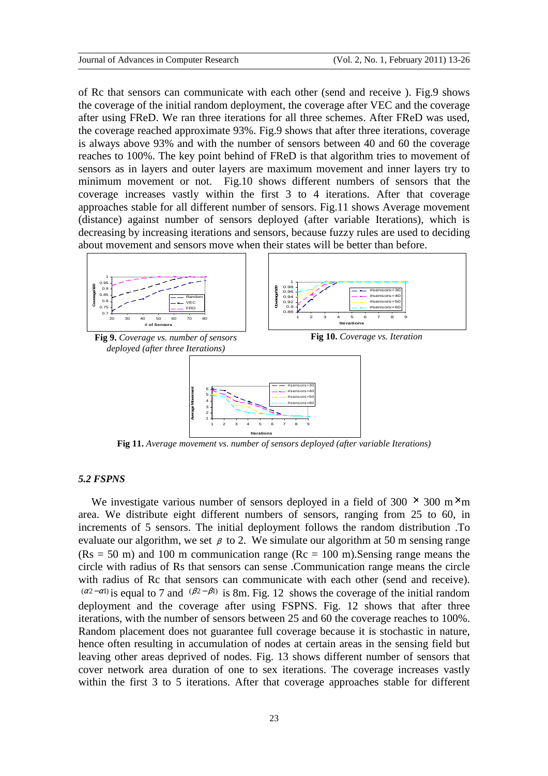of Rc that sensors can communicate with each other (send and receive ). Fig.9 shows the coverage of the initial random deployment, the coverage after VEC and the coverage after using FReD. We ran three iterations for all three schemes. After FReD was used, the coverage reached approximate 93%. Fig.9 shows that after three iterations, coverage is always above 93% and with the number of sensors between 40 and 60 the coverage reaches to 100%. The key point behind of FReD is that algorithm tries to movement of sensors as in layers and outer layers are maximum movement and inner layers try to minimum movement or not. Fig.10 shows different numbers of sensors that the coverage increases vastly within the first 3 to 4 iterations. After that coverage approaches stable for all different number of sensors. Fig.11 shows Average movement (distance) against number of sensors deployed (after variable Iterations), which is decreasing by increasing iterations and sensors, because fuzzy rules are used to deciding about movement and sensors move when their states will be better than before.



**Fig 11.** *Average movement vs. number of sensors deployed (after variable Iterations)* 

## *5.2 FSPNS*

We investigate various number of sensors deployed in a field of  $300 \times 300$  m $\times$ m area. We distribute eight different numbers of sensors, ranging from 25 to 60, in increments of 5 sensors. The initial deployment follows the random distribution .To evaluate our algorithm, we set  $\beta$  to 2. We simulate our algorithm at 50 m sensing range  $(Rs = 50 \text{ m})$  and 100 m communication range  $(Rc = 100 \text{ m})$ . Sensing range means the circle with radius of Rs that sensors can sense .Communication range means the circle with radius of Rc that sensors can communicate with each other (send and receive).  $(a^{2}-\alpha l)$  is equal to 7 and  $(\beta^{2}-\beta l)$  is 8m. Fig. 12 shows the coverage of the initial random deployment and the coverage after using FSPNS. Fig. 12 shows that after three iterations, with the number of sensors between 25 and 60 the coverage reaches to 100%. Random placement does not guarantee full coverage because it is stochastic in nature, hence often resulting in accumulation of nodes at certain areas in the sensing field but leaving other areas deprived of nodes. Fig. 13 shows different number of sensors that cover network area duration of one to sex iterations. The coverage increases vastly within the first 3 to 5 iterations. After that coverage approaches stable for different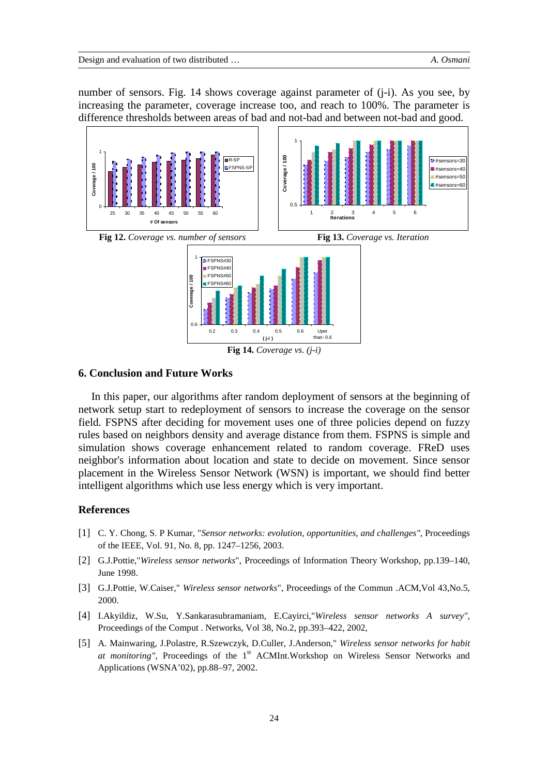number of sensors. Fig. 14 shows coverage against parameter of (j-i). As you see, by increasing the parameter, coverage increase too, and reach to 100%. The parameter is difference thresholds between areas of bad and not-bad and between not-bad and good.



## **6. Conclusion and Future Works**

In this paper, our algorithms after random deployment of sensors at the beginning of network setup start to redeployment of sensors to increase the coverage on the sensor field. FSPNS after deciding for movement uses one of three policies depend on fuzzy rules based on neighbors density and average distance from them. FSPNS is simple and simulation shows coverage enhancement related to random coverage. FReD uses neighbor's information about location and state to decide on movement. Since sensor placement in the Wireless Sensor Network (WSN) is important, we should find better intelligent algorithms which use less energy which is very important.

# **References**

- [1] C. Y. Chong, S. P Kumar, "*Sensor networks: evolution, opportunities, and challenges"*, Proceedings of the IEEE, Vol. 91, No. 8, pp. 1247–1256, 2003.
- [2] G.J.Pottie,"*Wireless sensor networks*", Proceedings of Information Theory Workshop, pp.139–140, June 1998.
- [3] G.J.Pottie, W.Caiser," *Wireless sensor networks*", Proceedings of the Commun .ACM,Vol 43,No.5, 2000.
- [4] I.Akyildiz, W.Su, Y.Sankarasubramaniam, E.Cayirci,"*Wireless sensor networks A survey",* Proceedings of the Comput . Networks, Vol 38, No.2, pp.393–422, 2002,
- [5] A. Mainwaring, J.Polastre, R.Szewczyk, D.Culler, J.Anderson," *Wireless sensor networks for habit at monitoring"*, Proceedings of the 1<sup>st</sup> ACMInt.Workshop on Wireless Sensor Networks and Applications (WSNA'02), pp.88–97, 2002.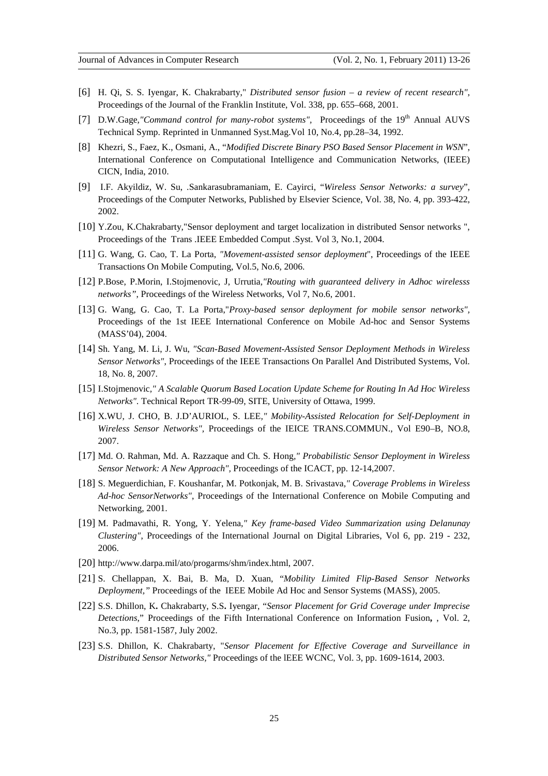- [6] H. Qi, S. S. Iyengar, K. Chakrabarty," *Distributed sensor fusion a review of recent research"*, Proceedings of the Journal of the Franklin Institute, Vol. 338, pp. 655–668, 2001.
- [7] D.W.Gage,"Command control for many-robot systems", Proceedings of the 19<sup>th</sup> Annual AUVS Technical Symp. Reprinted in Unmanned Syst.Mag.Vol 10, No.4, pp.28–34, 1992.
- [8] Khezri, S., Faez, K., Osmani, A., "*Modified Discrete Binary PSO Based Sensor Placement in WSN*", International Conference on Computational Intelligence and Communication Networks, (IEEE) CICN, India, 2010.
- [9] I.F. Akyildiz, W. Su, .Sankarasubramaniam, E. Cayirci, "*Wireless Sensor Networks: a survey*", Proceedings of the Computer Networks, Published by Elsevier Science, Vol. 38, No. 4, pp. 393-422, 2002.
- [10] Y.Zou, K.Chakrabarty,"Sensor deployment and target localization in distributed Sensor networks ", Proceedings of the Trans .IEEE Embedded Comput .Syst. Vol 3, No.1, 2004.
- [11] G. Wang, G. Cao, T. La Porta, *"Movement-assisted sensor deployment*", Proceedings of the IEEE Transactions On Mobile Computing, Vol.5, No.6, 2006.
- [12] P.Bose, P.Morin, I.Stojmenovic, J, Urrutia*,"Routing with guaranteed delivery in Adhoc wirelesss networks"*, Proceedings of the Wireless Networks, Vol 7, No.6, 2001.
- [13] G. Wang, G. Cao, T. La Porta,"*Proxy-based sensor deployment for mobile sensor networks",* Proceedings of the 1st IEEE International Conference on Mobile Ad-hoc and Sensor Systems (MASS'04), 2004.
- [14] Sh. Yang, M. Li, J. Wu, *"Scan-Based Movement-Assisted Sensor Deployment Methods in Wireless Sensor Networks"*, Proceedings of the IEEE Transactions On Parallel And Distributed Systems, Vol. 18, No. 8, 2007.
- [15] I.Stojmenovic*," A Scalable Quorum Based Location Update Scheme for Routing In Ad Hoc Wireless Networks".* Technical Report TR-99-09, SITE, University of Ottawa, 1999.
- [16] X.WU, J. CHO, B. J.D'AURIOL, S. LEE*," Mobility-Assisted Relocation for Self-Deployment in Wireless Sensor Networks",* Proceedings of the IEICE TRANS.COMMUN., Vol E90–B, NO.8, 2007.
- [17] Md. O. Rahman, Md. A. Razzaque and Ch. S. Hong*," Probabilistic Sensor Deployment in Wireless Sensor Network: A New Approach",* Proceedings of the ICACT, pp. 12-14,2007.
- [18] S. Meguerdichian, F. Koushanfar, M. Potkonjak, M. B. Srivastava*," Coverage Problems in Wireless Ad-hoc SensorNetworks"*, Proceedings of the International Conference on Mobile Computing and Networking, 2001.
- [19] M. Padmavathi, R. Yong, Y. Yelena*," Key frame-based Video Summarization using Delanunay Clustering"*, Proceedings of the International Journal on Digital Libraries, Vol 6, pp. 219 - 232, 2006.
- [20] http://www.darpa.mil/ato/progarms/shm/index.html, 2007.
- [21] S. Chellappan, X. Bai, B. Ma, D. Xuan, "*Mobility Limited Flip-Based Sensor Networks Deployment,"* Proceedings of the IEEE Mobile Ad Hoc and Sensor Systems (MASS), 2005.
- [22] S.S. Dhillon, K**.** Chakrabarty, S.S**.** Iyengar, "*Sensor Placement for Grid Coverage under Imprecise Detections*," Proceedings of the Fifth International Conference on Information Fusion**,** , Vol. 2, No.3, pp. 1581-1587, July 2002.
- [23] S.S. Dhillon, K. Chakrabarty, "*Sensor Placement for Effective Coverage and Surveillance in Distributed Sensor Networks,"* Proceedings of the lEEE WCNC, Vol. 3, pp. 1609-1614, 2003.